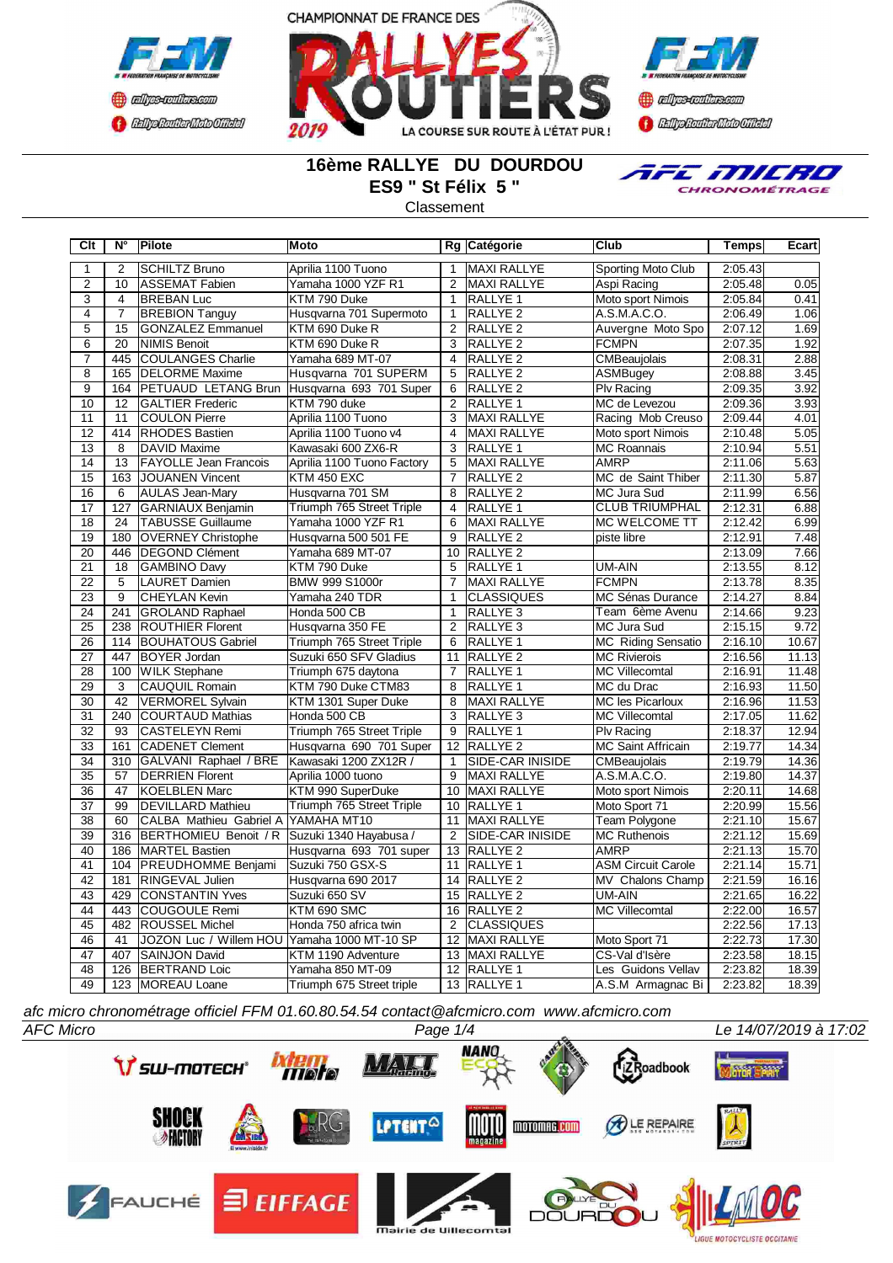





## **16ème RALLYE DU DOURDOU ES9 " St Félix 5 "**

**Classement** 



**Clt N° Pilote Moto Rg Catégorie Club Temps Ecart** 1 2 SCHILTZ Bruno Aprilia 1100 Tuono 1 MAXI RALLYE Sporting Moto Club 2:05.43 2 10 ASSEMAT Fabien Yamaha 1000 YZF R1 2 MAXI RALLYE Aspi Racing 2:05.48 0.05 3 4 BREBAN Luc KTM 790 Duke 1 RALLYE 1 Moto sport Nimois 2:05.84 0.41 4 7 BREBION Tanguy Husqvarna 701 Supermoto 1 RALLYE 2 A.S.M.A.C.O. 2:06.49 1.06 5 | 15 | GONZALEZ Emmanuel | KTM 690 Duke R | 2 | RALLYE 2 | Auvergne Moto Spo | 2:07.12 | 1.69 6 20 NIMIS Benoit KTM 690 Duke R 3 RALLYE 2 FCMPN 2:07.35 1.92 7 445 COULANGES Charlie Yamaha 689 MT-07 4 RALLYE 2 CMBeaujolais 2:08.31 2.88 8 165 DELORME Maxime Husqvarna 701 SUPERM 5 RALLYE 2 ASMBugey 2:08.88 3.45<br>9 164 PETUAUD LETANG Brun Husqvarna 693 701 Super 6 RALLYE 2 PIv Racing 2:09.35 3.92 PETUAUD LETANG Brun 10 12 GALTIER Frederic KTM 790 duke 2 RALLYE 1 MC de Levezou 2:09.36 3.93<br>11 11 COULON Pierre Aprilia 1100 Tuono 3 MAXI RALLYE Racing Mob Creuso 2:09.44 4.01 11 COULON Pierre Aprilia 1100 Tuono 3 MAXI RALLYE Racing Mob Creuso 12 414 RHODES Bastien Aprilia 1100 Tuono v4 4 MAXI RALLYE Moto sport Nimois 2:10.48 5.05 13 8 DAVID Maxime Kawasaki 600 ZX6-R 3 RALLYE 1 MC Roannais 2:10.94 5.51 14 13 FAYOLLE Jean Francois Aprilia 1100 Tuono Factory 5 MAXI RALLYE AMRP 2:11.06 5.63 15 163 JOUANEN Vincent KTM 450 EXC 7 RALLYE 2 MC de Saint Thiber 2:11.30 5.87 16 6 AULAS Jean-Mary Husqvarna 701 SM 8 RALLYE 2 MC Jura Sud 2:11.99 6.56 17 127 GARNIAUX Benjamin Triumph 765 Street Triple 4 RALLYE 1 CLUB TRIUMPHAL 2:12.31 6.88 18 24 TABUSSE Guillaume Yamaha 1000 YZF R1 6 19 180 OVERNEY Christophe Husqvarna 500 501 FE 9 RALLYE 2 piste libre 2:12.91 7.48 Yamaha 689 MT-07 10 21 18 GAMBINO Davy KTM 790 Duke 5 RALLYE 1 UM-AIN 2:13.55 8.12<br>22 5 LAURET Damien BMW 999 S1000r 7 MAXI RALLYE FCMPN 2:13.78 8.35 5 LAURET Damien BMW 999 S1000r 7 MAXI RALLYE FCMPN 2:13.78 23 9 CHEYLAN Kevin Yamaha 240 TDR 1 CLASSIQUES MC Sénas Durance 2:14.27 8.84<br>24 241 GROLAND Raphael Honda 500 CB 1 RALLYE 3 Team 6ème Avenu 2:14.66 9.23 241 GROLAND Raphael Honda 500 CB 1 RALLYE 3 Team 6ème Avenu 2:14.66 9.23 25 238 ROUTHIER Florent Husqvarna 350 FE 2 RALLYE 3 MC Jura Sud 2:15.15 9.72<br>26 1114 BOUHATOUS Gabriel Triumph 765 Street Triple 6 RALLYE 1 MC Riding Sensatio 2:16.10 10.67 114 BOUHATOUS Gabriel Triumph 765 Street Triple 6 27 447 BOYER Jordan Suzuki 650 SFV Gladius 11 RALLYE 2 MC Rivierois 2:16.56 11.13<br>28 100 WILK Stephane Triumph 675 daytona 7 RALLYE 1 MC Villecomtal 2:16.91 11.48 28 100 WILK Stephane Triumph 675 daytona 7 RALLYE 1 MC Villecomtal 2:16.91 11.48<br>29 3 CAUQUIL Romain KTM 790 Duke CTM83 8 RALLYE 1 MC du Drac 2:16.93 11.50 29 3 CAUQUIL Romain KTM 790 Duke CTM83 8 RALLYE 1 MC du Drac 142 VERMOREL Sylvain KTM 1301 Super Duke 8 MAXI RALLYE 30 42 VERMOREL Sylvain KTM 1301 Super Duke 8 MAXI RALLYE MC les Picarloux 2:16.96 11.53 31 240 COURTAUD Mathias Honda 500 CB 3 RALLYE 3 MC Villecomtal 2:17.05 11.62 32 93 CASTELEYN Remi Triumph 765 Street Triple 9 RALLYE 1 Plv Racing 2:18.37 12.94<br>33 161 CADENET Clement Husqvarna 690 701 Super 12 RALLYE 2 MC Saint Affricain 2:19.77 14.34 Husqvarna 690 701 Super 34 310 GALVANI Raphael / BRE Kawasaki 1200 ZX12R / 1 SIDE-CAR INISIDE CMBeaujolais 2:19.79 14.36 35 57 DERRIEN Florent Aprilia 1000 tuono 9 MAXI RALLYE A.S.M.A.C.O. 2:19.80 14.37 36 47 KOELBLEN Marc KTM 990 SuperDuke 10 MAXI RALLYE Moto sport Nimois 2:20.11 14.68 37 99 DEVILLARD Mathieu Triumph 765 Street Triple 10 RALLYE 1 Moto Sport 71 2:20.99 15.56 38 60 CALBA Mathieu Gabriel A YAMAHA MT10 11 MAXI RALLYE Team Polygone 2:21.10 15.67<br>39 316 BERTHOMIEU Benoit / R Suzuki 1340 Hayabusa / 2 SIDE-CAR INISIDE MC Ruthenois 2:21.12 15.69 39 316 BERTHOMIEU Benoit / R Suzuki 1340 Hayabusa / 2 SIDE-CAR INISIDE MC Ruthenois 2:21.12 15.69 40 186 MARTEL Bastien Husqvarna 693 701 super 13 RALLYE 2 AMRP 2:21.13 15.70<br>41 104 PREUDHOMME Benjami Suzuki 750 GSX-S 11 RALLYE 1 ASM Circuit Carole 2:21.14 15.71 41 104 PREUDHOMME Benjami Suzuki 750 GSX-S 11 RALLYE 1 ASM Circuit Carole 2:21.14 15.71 42 181 RINGEVAL Julien Husqvarna 690 2017 14 RALLYE 2 MV Chalons Champ 2:21.59 16.16 43 429 CONSTANTIN Yves Suzuki 650 SV 15 RALLYE 2 UM-AIN 2:21.65 16.22 44 44 445 COUGOULE Remi KTM 690 SMC 16 RALLYE 2 MC Villecomtal 2:22.00 16 RALLYE 2 MC Villecomtal 2:22.00 16.<br>12:22.56 45 482 ROUSSEL Michel Honda 750 africa twin 2 CLASSIQUES 2:22.56 17.13 46 41 JOZON Luc / Willem HOU Yamaha 1000 MT-10 SP 12 MAXI RALLYE Moto Sport 71 47 407 SAINJON David KTM 1190 Adventure 13 MAXI RALLYE CS-Val d'Isère 2:23.58 18.15 48 126 BERTRAND Loic Yamaha 850 MT-09 12 RALLYE 1 Les Guidons Vellav 2:23.82 18.39 49 123 MOREAU Loane Triumph 675 Street triple 13 RALLYE 1 A.S.M Armagnac Bi 2:23.82 18.39

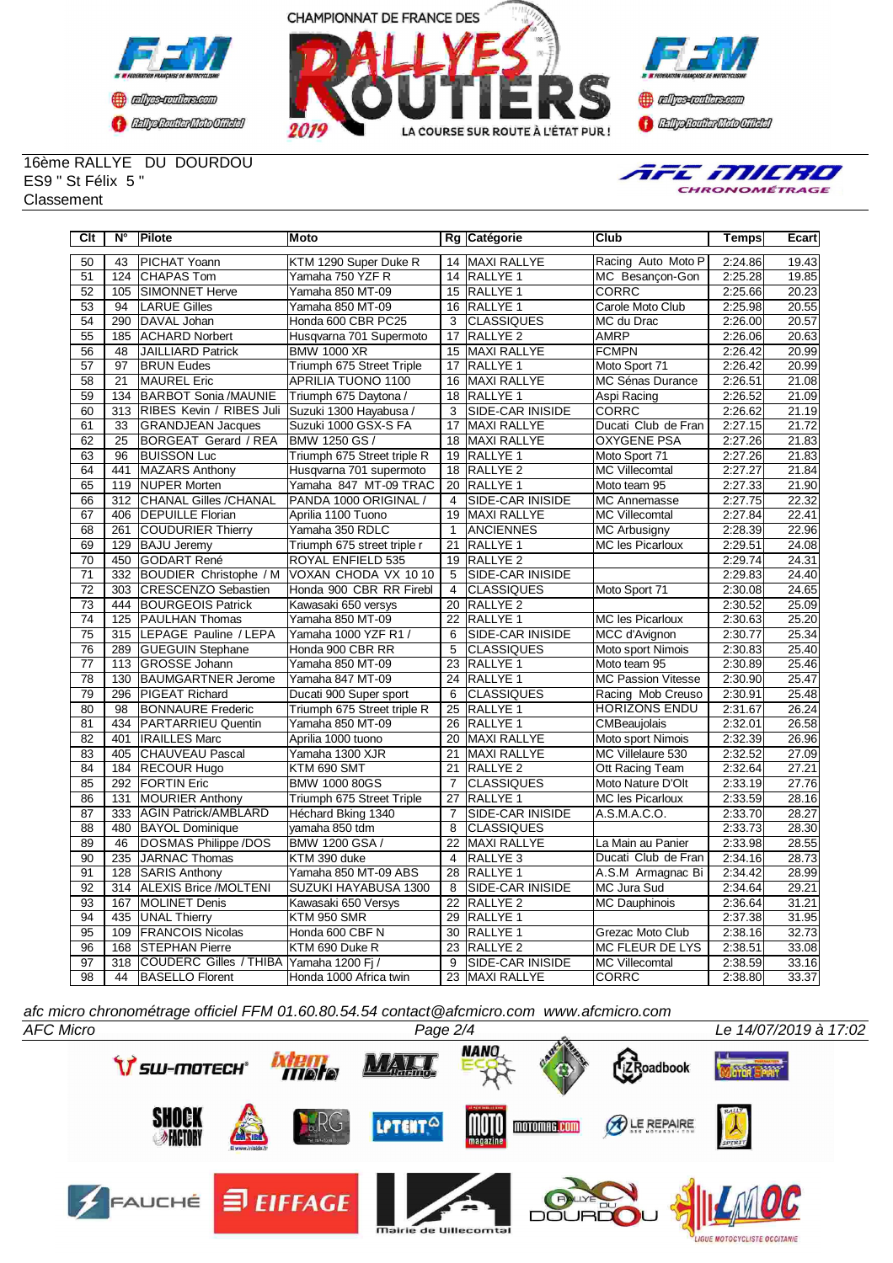





16ème RALLYE DU DOURDOU ES9 " St Félix 5 " **Classement** 



| Clt             | $N^{\circ}$     | <b>Pilote</b>                 | Moto                        |                 | Rg Catégorie            | <b>Club</b>               | <b>Temps</b> | Ecart               |
|-----------------|-----------------|-------------------------------|-----------------------------|-----------------|-------------------------|---------------------------|--------------|---------------------|
| 50              | 43              | PICHAT Yoann                  | KTM 1290 Super Duke R       | 14              | MAXI RALLYE             | Racing Auto Moto P        | 2:24.86      | 19.43               |
| 51              | 124             | <b>CHAPAS Tom</b>             | Yamaha 750 YZF R            |                 | 14 RALLYE 1             | MC Besancon-Gon           | 2:25.28      | 19.85               |
| 52              | 105             | <b>SIMONNET Herve</b>         | Yamaha 850 MT-09            | 15              | <b>RALLYE 1</b>         | <b>CORRC</b>              | 2:25.66      | 20.23               |
| 53              | 94              | <b>LARUE Gilles</b>           | Yamaha 850 MT-09            | 16              | <b>RALLYE 1</b>         | Carole Moto Club          | 2:25.98      | 20.55               |
| 54              | 290             | DAVAL Johan                   | Honda 600 CBR PC25          | 3               | <b>CLASSIQUES</b>       | MC du Drac                | 2:26.00      | 20.57               |
| 55              | 185             | <b>ACHARD Norbert</b>         | Husqvarna 701 Supermoto     | 17              | RALLYE <sub>2</sub>     | <b>AMRP</b>               | 2:26.06      | 20.63               |
| 56              | 48              | JAILLIARD Patrick             | <b>BMW 1000 XR</b>          |                 | 15 MAXI RALLYE          | <b>FCMPN</b>              | 2:26.42      | 20.99               |
| 57              | 97              | <b>BRUN Eudes</b>             | Triumph 675 Street Triple   | 17              | <b>RALLYE 1</b>         | Moto Sport 71             | 2:26.42      | 20.99               |
| 58              | 21              | MAUREL Eric                   | APRILIA TUONO 1100          | 16              | <b>MAXI RALLYE</b>      | MC Sénas Durance          | 2:26.51      | 21.08               |
| 59              | 134             | <b>BARBOT Sonia /MAUNIE</b>   | Triumph 675 Daytona /       | 18              | <b>RALLYE 1</b>         | Aspi Racing               | 2:26.52      | 21.09               |
| $\overline{60}$ | 313             | RIBES Kevin / RIBES Juli      | Suzuki 1300 Hayabusa /      | $\overline{3}$  | <b>SIDE-CAR INISIDE</b> | <b>CORRC</b>              | 2:26.62      | 21.19               |
| 61              | 33              | <b>GRANDJEAN Jacques</b>      | Suzuki 1000 GSX-S FA        | 17              | <b>MAXI RALLYE</b>      | Ducati Club de Fran       | 2:27.15      | 21.72               |
| 62              | $\overline{25}$ | BORGEAT Gerard / REA          | BMW 1250 GS /               | $\overline{18}$ | <b>MAXI RALLYE</b>      | <b>OXYGENE PSA</b>        | 2:27.26      | 21.83               |
| 63              | 96              | <b>BUISSON Luc</b>            | Triumph 675 Street triple R | 19              | <b>RALLYE 1</b>         | Moto Sport 71             | 2:27.26      | 21.83               |
| 64              | 441             | MAZARS Anthony                | Husqvarna 701 supermoto     | 18              | RALLYE <sub>2</sub>     | <b>MC Villecomtal</b>     | 2:27.27      | $\overline{2}$ 1.84 |
| 65              | 119             | <b>NUPER Morten</b>           | Yamaha 847 MT-09 TRAC       | 20              | <b>RALLYE 1</b>         | Moto team 95              | 2:27.33      | 21.90               |
| 66              | 312             | <b>CHANAL Gilles /CHANAL</b>  | PANDA 1000 ORIGINAL /       | $\overline{4}$  | <b>SIDE-CAR INISIDE</b> | <b>MC Annemasse</b>       | 2:27.75      | 22.32               |
| 67              | 406             | <b>DEPUILLE Florian</b>       | Aprilia 1100 Tuono          | 19              | <b>MAXI RALLYE</b>      | <b>MC Villecomtal</b>     | 2:27.84      | 22.41               |
| 68              | 261             | <b>COUDURIER Thierry</b>      | Yamaha 350 RDLC             | $\mathbf{1}$    | <b>ANCIENNES</b>        | <b>MC Arbusigny</b>       | 2:28.39      | 22.96               |
| 69              | 129             | <b>BAJU Jeremy</b>            | Triumph 675 street triple r | $\overline{21}$ | <b>RALLYE 1</b>         | <b>MC les Picarloux</b>   | 2:29.51      | 24.08               |
| 70              | 450             | <b>GODART René</b>            | ROYAL ENFIELD 535           | 19              | <b>RALLYE 2</b>         |                           | 2:29.74      | 24.31               |
| 71              | 332             | <b>BOUDIER Christophe / M</b> | VOXAN CHODA VX 1010         | 5               | <b>SIDE-CAR INISIDE</b> |                           | 2:29.83      | 24.40               |
| 72              | 303             | <b>CRESCENZO Sebastien</b>    | Honda 900 CBR RR Firebl     | $\overline{4}$  | <b>CLASSIQUES</b>       | Moto Sport 71             | 2:30.08      | 24.65               |
| 73              | 444             | <b>BOURGEOIS Patrick</b>      | Kawasaki 650 versys         | 20              | RALLYE <sub>2</sub>     |                           | 2:30.52      | 25.09               |
| 74              | 125             | <b>PAULHAN Thomas</b>         | Yamaha 850 MT-09            | 22              | <b>RALLYE 1</b>         | <b>MC les Picarloux</b>   | 2:30.63      | 25.20               |
| 75              | 315             | LEPAGE Pauline / LEPA         | Yamaha 1000 YZF R1 /        | 6               | SIDE-CAR INISIDE        | MCC d'Avignon             | 2:30.77      | 25.34               |
| 76              | 289             | <b>GUEGUIN Stephane</b>       | Honda 900 CBR RR            | 5               | <b>CLASSIQUES</b>       | Moto sport Nimois         | 2:30.83      | 25.40               |
| $\overline{77}$ | 113             | <b>GROSSE Johann</b>          | Yamaha 850 MT-09            | $\overline{23}$ | <b>RALLYE 1</b>         | Moto team 95              | 2:30.89      | 25.46               |
| 78              | 130             | BAUMGARTNER Jerome            | Yamaha 847 MT-09            | 24              | <b>RALLYE 1</b>         | <b>MC Passion Vitesse</b> | 2:30.90      | 25.47               |
| 79              | 296             | <b>PIGEAT Richard</b>         | Ducati 900 Super sport      | 6               | <b>CLASSIQUES</b>       | Racing Mob Creuso         | 2:30.91      | 25.48               |
| 80              | 98              | <b>BONNAURE</b> Frederic      | Triumph 675 Street triple R | 25              | <b>RALLYE 1</b>         | <b>HORIZONS ENDU</b>      | 2:31.67      | 26.24               |
| 81              | 434             | <b>PARTARRIEU Quentin</b>     | Yamaha 850 MT-09            |                 | 26 RALLYE 1             | CMBeaujolais              | 2:32.01      | 26.58               |
| 82              | 401             | <b>IRAILLES Marc</b>          | Aprilia 1000 tuono          | 20              | <b>MAXI RALLYE</b>      | Moto sport Nimois         | 2:32.39      | 26.96               |
| 83              | 405             | <b>CHAUVEAU Pascal</b>        | Yamaha 1300 XJR             | 21              | <b>MAXI RALLYE</b>      | MC Villelaure 530         | 2:32.52      | 27.09               |
| 84              | 184             | <b>RECOUR Hugo</b>            | KTM 690 SMT                 | 21              | RALLYE <sub>2</sub>     | Ott Racing Team           | 2:32.64      | 27.21               |
| 85              | 292             | <b>FORTIN Eric</b>            | <b>BMW 1000 80GS</b>        | $\overline{7}$  | <b>CLASSIQUES</b>       | Moto Nature D'Olt         | 2:33.19      | 27.76               |
| 86              | 131             | <b>MOURIER Anthony</b>        | Triumph 675 Street Triple   | $\overline{27}$ | <b>RALLYE 1</b>         | <b>MC les Picarloux</b>   | 2:33.59      | 28.16               |
| 87              | 333             | <b>AGIN Patrick/AMBLARD</b>   | Héchard Bking 1340          | $\overline{7}$  | <b>SIDE-CAR INISIDE</b> | A.S.M.A.C.O.              | 2:33.70      | 28.27               |
| 88              | 480             | <b>BAYOL Dominique</b>        | yamaha 850 tdm              | 8               | <b>CLASSIQUES</b>       |                           | 2:33.73      | 28.30               |
| 89              | 46              | DOSMAS Philippe /DOS          | <b>BMW 1200 GSA /</b>       | 22              | <b>MAXI RALLYE</b>      | La Main au Panier         | 2:33.98      | 28.55               |
| 90              | 235             | JARNAC Thomas                 | KTM 390 duke                | $\overline{4}$  | RALLYE <sub>3</sub>     | Ducati Club de Fran       | 2:34.16      | 28.73               |
| $\overline{91}$ | 128             | <b>SARIS Anthony</b>          | Yamaha 850 MT-09 ABS        | 28              | <b>RALLYE 1</b>         | A.S.M Armagnac Bi         | 2:34.42      | 28.99               |
| 92              | 314             | <b>ALEXIS Brice /MOLTENI</b>  | SUZUKI HAYABUSA 1300        | 8               | SIDE-CAR INISIDE        | <b>MC Jura Sud</b>        | 2:34.64      | 29.21               |
| 93              | 167             | <b>MOLINET Denis</b>          | Kawasaki 650 Versys         | 22              | RALLYE <sub>2</sub>     | <b>MC Dauphinois</b>      | 2:36.64      | 31.21               |
| 94              | 435             | <b>UNAL Thierry</b>           | <b>KTM 950 SMR</b>          | 29              | <b>RALLYE 1</b>         |                           | 2:37.38      | 31.95               |
| 95              | 109             | <b>FRANCOIS Nicolas</b>       | Honda 600 CBF N             | 30              | <b>RALLYE 1</b>         | Grezac Moto Club          | 2:38.16      | 32.73               |
| 96              | 168             | <b>STEPHAN Pierre</b>         | KTM 690 Duke R              | 23              | RALLYE <sub>2</sub>     | <b>MC FLEUR DE LYS</b>    | 2:38.51      | 33.08               |
| 97              | 318             | <b>COUDERC Gilles / THIBA</b> | Yamaha 1200 Fi /            | 9               | <b>SIDE-CAR INISIDE</b> | <b>MC Villecomtal</b>     | 2:38.59      | 33.16               |
| 98              | 44              | <b>BASELLO</b> Florent        | Honda 1000 Africa twin      |                 | 23 MAXI RALLYE          | <b>CORRC</b>              | 2:38.80      | 33.37               |

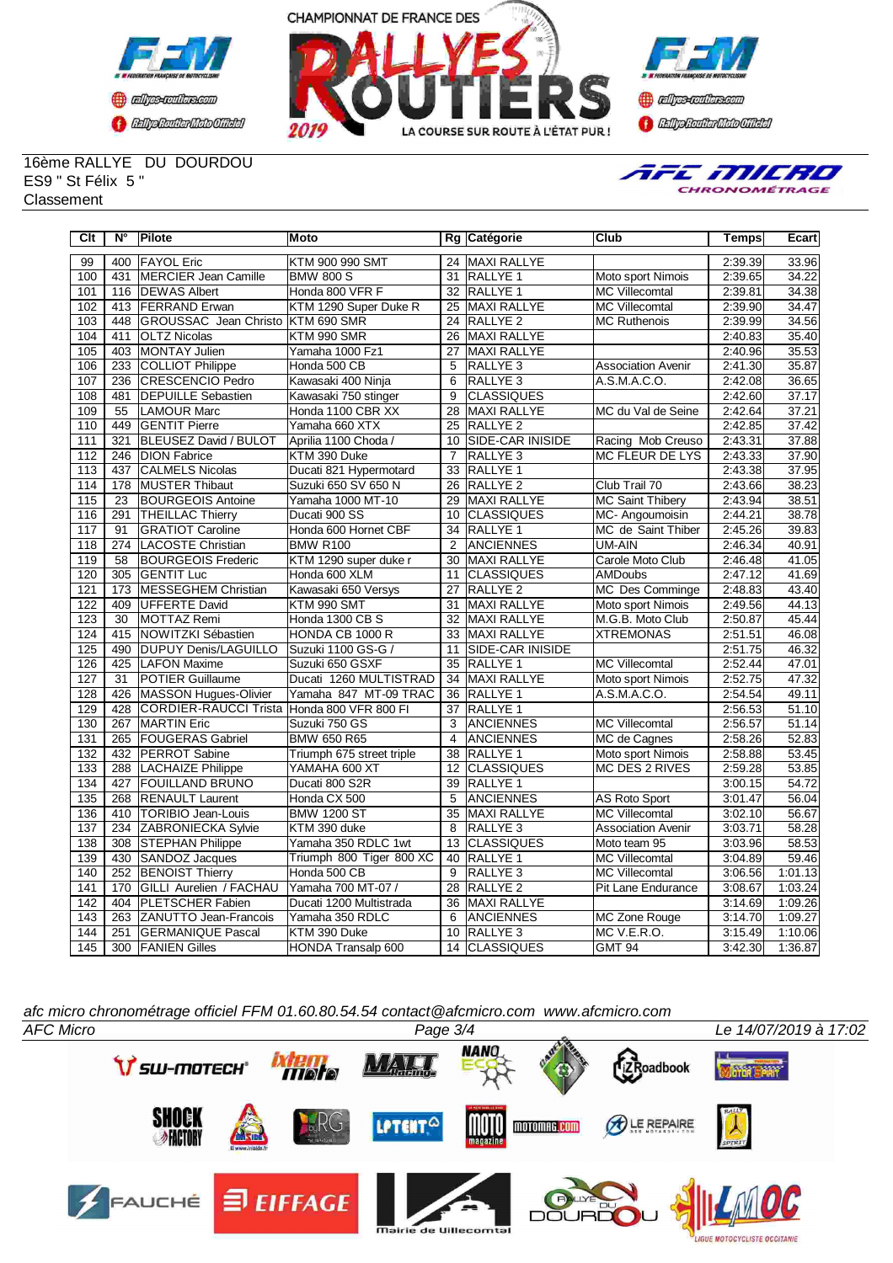





16ème RALLYE DU DOURDOU ES9 " St Félix 5 " **Classement** 



| Clt              | N°               | <b>Pilote</b>                  | Moto                      |                 | Rg Catégorie            | Club                      | <b>Temps</b> | Ecart   |
|------------------|------------------|--------------------------------|---------------------------|-----------------|-------------------------|---------------------------|--------------|---------|
| 99               | 400              | <b>FAYOL Eric</b>              | KTM 900 990 SMT           |                 | 24 MAXI RALLYE          |                           | 2:39.39      | 33.96   |
| 100              | 431              | MERCIER Jean Camille           | <b>BMW 800 S</b>          | 31              | RALLYE 1                | Moto sport Nimois         | 2:39.65      | 34.22   |
| 101              | 116              | <b>DEWAS Albert</b>            | Honda 800 VFR F           |                 | 32 RALLYE 1             | <b>MC Villecomtal</b>     | 2:39.81      | 34.38   |
| 102              | 413              | <b>FERRAND</b> Erwan           | KTM 1290 Super Duke R     | 25              | MAXI RALLYE             | <b>MC Villecomtal</b>     | 2:39.90      | 34.47   |
| 103              | 448              | <b>GROUSSAC</b> Jean Christo   | KTM 690 SMR               | 24              | <b>RALLYE 2</b>         | <b>MC Ruthenois</b>       | 2:39.99      | 34.56   |
| 104              | 411              | <b>OLTZ Nicolas</b>            | KTM 990 SMR               | 26              | <b>MAXI RALLYE</b>      |                           | 2:40.83      | 35.40   |
| 105              | 403              | MONTAY Julien                  | Yamaha 1000 Fz1           | 27              | <b>MAXI RALLYE</b>      |                           | 2:40.96      | 35.53   |
| 106              | 233              | <b>COLLIOT Philippe</b>        | Honda 500 CB              | 5               | RALLYE <sub>3</sub>     | <b>Association Avenir</b> | 2:41.30      | 35.87   |
| 107              | 236              | <b>CRESCENCIO Pedro</b>        | Kawasaki 400 Ninja        | 6               | RALLYE <sub>3</sub>     | A.S.M.A.C.O.              | 2:42.08      | 36.65   |
| 108              | 481              | <b>DEPUILLE Sebastien</b>      | Kawasaki 750 stinger      | 9               | <b>CLASSIQUES</b>       |                           | 2:42.60      | 37.17   |
| 109              | 55               | <b>LAMOUR Marc</b>             | Honda 1100 CBR XX         | 28              | MAXI RALLYE             | MC du Val de Seine        | 2:42.64      | 37.21   |
| 110              | 449              | <b>GENTIT Pierre</b>           | Yamaha 660 XTX            | 25              | <b>RALLYE 2</b>         |                           | 2:42.85      | 37.42   |
| 111              | $\overline{321}$ | <b>BLEUSEZ David / BULOT</b>   | Aprilia 1100 Choda /      | 10              | <b>SIDE-CAR INISIDE</b> | Racing Mob Creuso         | 2:43.31      | 37.88   |
| 112              | 246              | <b>DION Fabrice</b>            | KTM 390 Duke              | $\overline{7}$  | <b>RALLYE 3</b>         | MC FLEUR DE LYS           | 2:43.33      | 37.90   |
| $\overline{113}$ | 437              | <b>CALMELS Nicolas</b>         | Ducati 821 Hypermotard    | 33              | <b>RALLYE 1</b>         |                           | 2:43.38      | 37.95   |
| 114              | 178              | <b>MUSTER Thibaut</b>          | Suzuki 650 SV 650 N       | 26              | <b>RALLYE 2</b>         | Club Trail 70             | 2:43.66      | 38.23   |
| 115              | 23               | <b>BOURGEOIS Antoine</b>       | Yamaha 1000 MT-10         | 29              | <b>MAXI RALLYE</b>      | <b>MC Saint Thibery</b>   | 2:43.94      | 38.51   |
| 116              | 291              | <b>THEILLAC Thierry</b>        | Ducati 900 SS             | 10              | <b>CLASSIQUES</b>       | MC-Angoumoisin            | 2:44.21      | 38.78   |
| 117              | 91               | <b>GRATIOT Caroline</b>        | Honda 600 Hornet CBF      | 34              | <b>RALLYE 1</b>         | MC de Saint Thiber        | 2:45.26      | 39.83   |
| 118              | 274              | LACOSTE Christian              | <b>BMW R100</b>           | $\overline{2}$  | <b>ANCIENNES</b>        | <b>UM-AIN</b>             | 2:46.34      | 40.91   |
| $\overline{119}$ | 58               | <b>IBOURGEOIS Frederic</b>     | KTM 1290 super duke r     | 30              | <b>MAXI RALLYE</b>      | Carole Moto Club          | 2:46.48      | 41.05   |
| 120              | 305              | <b>GENTIT Luc</b>              | Honda 600 XLM             | 11              | <b>CLASSIQUES</b>       | <b>AMDoubs</b>            | 2:47.12      | 41.69   |
| 121              | 173              | <b>MESSEGHEM Christian</b>     | Kawasaki 650 Versys       | $\overline{27}$ | RALLYE <sub>2</sub>     | MC Des Comminge           | 2:48.83      | 43.40   |
| 122              | 409              | UFFERTE David                  | KTM 990 SMT               | 31              | MAXI RALLYE             | Moto sport Nimois         | 2:49.56      | 44.13   |
| 123              | 30               | MOTTAZ Remi                    | Honda 1300 CB S           | 32              | MAXI RALLYE             | M.G.B. Moto Club          | 2:50.87      | 45.44   |
| 124              | 415              | <b>NOWITZKI Sébastien</b>      | HONDA CB 1000 R           | 33              | <b>MAXI RALLYE</b>      | <b>XTREMONAS</b>          | 2:51.51      | 46.08   |
| 125              | 490              | <b>DUPUY Denis/LAGUILLO</b>    | Suzuki 1100 GS-G /        | 11              | SIDE-CAR INISIDE        |                           | 2:51.75      | 46.32   |
| 126              | 425              | <b>LAFON Maxime</b>            | Suzuki 650 GSXF           | 35              | RALLYE 1                | <b>MC Villecomtal</b>     | 2:52.44      | 47.01   |
| 127              | 31               | <b>IPOTIER Guillaume</b>       | Ducati 1260 MULTISTRAD    | 34              | MAXI RALLYE             | Moto sport Nimois         | 2:52.75      | 47.32   |
| 128              | 426              | MASSON Hugues-Olivier          | Yamaha 847 MT-09 TRAC     | 36              | <b>RALLYE 1</b>         | A.S.M.A.C.O.              | 2:54.54      | 49.11   |
| $\overline{129}$ | 428              | <b>CORDIER-RAUCCI Trista</b>   | Honda 800 VFR 800 FI      | 37              | <b>RALLYE 1</b>         |                           | 2:56.53      | 51.10   |
| 130              | 267              | <b>MARTIN</b> Eric             | Suzuki 750 GS             | 3               | <b>ANCIENNES</b>        | <b>MC Villecomtal</b>     | 2:56.57      | 51.14   |
| 131              | 265              | <b>FOUGERAS Gabriel</b>        | BMW 650 R65               | 4               | <b>ANCIENNES</b>        | MC de Cagnes              | 2:58.26      | 52.83   |
| 132              | 432              | <b>PERROT</b> Sabine           | Triumph 675 street triple | 38              | RALLYE 1                | Moto sport Nimois         | 2:58.88      | 53.45   |
| 133              | 288              | LACHAIZE Philippe              | YAMAHA 600 XT             | 12              | <b>CLASSIQUES</b>       | MC DES 2 RIVES            | 2:59.28      | 53.85   |
| 134              | 427              | <b>FOUILLAND BRUNO</b>         | Ducati 800 S2R            | 39              | RALLYE 1                |                           | 3:00.15      | 54.72   |
| 135              | 268              | <b>RENAULT Laurent</b>         | Honda CX 500              | 5               | ANCIENNES               | <b>AS Roto Sport</b>      | 3:01.47      | 56.04   |
| 136              | 410              | <b>TORIBIO Jean-Louis</b>      | <b>BMW 1200 ST</b>        | 35              | MAXI RALLYE             | <b>MC Villecomtal</b>     | 3:02.10      | 56.67   |
| 137              | 234              | <b>ZABRONIECKA Sylvie</b>      | KTM 390 duke              | 8               | RALLYE <sub>3</sub>     | <b>Association Avenir</b> | 3:03.71      | 58.28   |
| 138              | 308              | <b>STEPHAN Philippe</b>        | Yamaha 350 RDLC 1wt       | 13              | <b>CLASSIQUES</b>       | Moto team 95              | 3:03.96      | 58.53   |
| 139              | 430              | SANDOZ Jacques                 | Triumph 800 Tiger 800 XC  | 40              | RALLYE 1                | <b>MC Villecomtal</b>     | 3:04.89      | 59.46   |
| $\overline{140}$ | 252              | <b>BENOIST Thierry</b>         | Honda 500 CB              | 9               | RALLYE <sub>3</sub>     | <b>MC Villecomtal</b>     | 3:06.56      | 1:01.13 |
| 141              | 170              | <b>GILLI Aurelien / FACHAU</b> | Yamaha 700 MT-07 /        | 28              | RALLYE <sub>2</sub>     | Pit Lane Endurance        | 3:08.67      | 1:03.24 |
| 142              | 404              | <b>PLETSCHER Fabien</b>        | Ducati 1200 Multistrada   | 36              | MAXI RALLYE             |                           | 3:14.69      | 1:09.26 |
| 143              | 263              | <b>ZANUTTO Jean-Francois</b>   | Yamaha 350 RDLC           | 6               | <b>ANCIENNES</b>        | <b>MC Zone Rouge</b>      | 3:14.70      | 1:09.27 |
| 144              | 251              | <b>GERMANIQUE Pascal</b>       | KTM 390 Duke              | 10              | RALLYE <sub>3</sub>     | MC V.E.R.O.               | 3:15.49      | 1:10.06 |
| 145              | 300              | <b>FANIEN Gilles</b>           | HONDA Transalp 600        |                 | 14 CLASSIQUES           | <b>GMT 94</b>             | 3:42.30      | 1:36.87 |